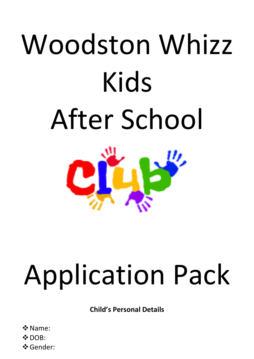# Woodston Whizz Kids After School



## Application Pack

**Child's Personal Details**

❖Name:  $\clubsuit$  DOB: ❖Gender: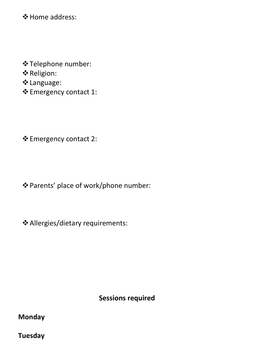❖Home address:

❖Telephone number:

❖Religion:

❖Language:

❖Emergency contact 1:

❖Emergency contact 2:

❖Parents' place of work/phone number:

❖Allergies/dietary requirements:

**Sessions required**

**Monday**

**Tuesday**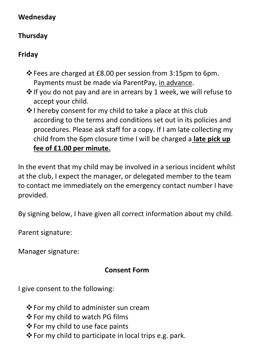#### **Wednesday**

### **Thursday**

#### **Friday**

- ❖Fees are charged at £8.00 per session from 3:15pm to 6pm. Payments must be made via ParentPay, in advance.
- ❖If you do not pay and are in arrears by 1 week, we will refuse to accept your child.
- ❖I hereby consent for my child to take a place at this club according to the terms and conditions set out in its policies and procedures. Please ask staff for a copy. If I am late collecting my child from the 6pm closure time I will be charged a **late pick up fee of £1.00 per minute.**

In the event that my child may be involved in a serious incident whilst at the club, I expect the manager, or delegated member to the team to contact me immediately on the emergency contact number I have provided.

By signing below, I have given all correct information about my child.

Parent signature:

Manager signature:

### **Consent Form**

I give consent to the following:

- ❖For my child to administer sun cream
- ❖For my child to watch PG films
- ❖For my child to use face paints
- ❖For my child to participate in local trips e.g. park.